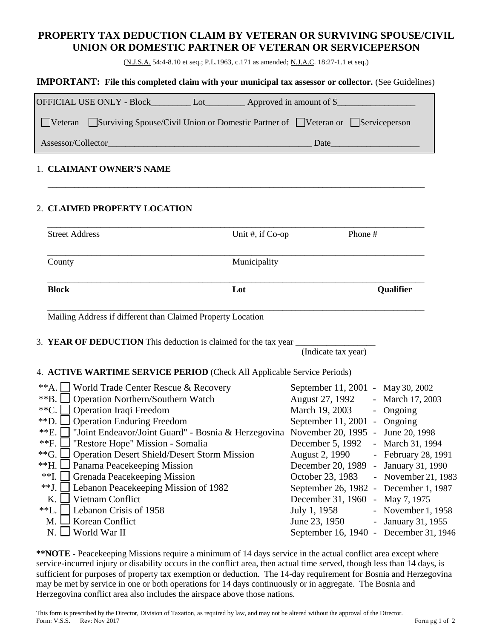## **PROPERTY TAX DEDUCTION CLAIM BY VETERAN OR SURVIVING SPOUSE/CIVIL UNION OR DOMESTIC PARTNER OF VETERAN OR SERVICEPERSON**

(N.J.S.A. 54:4-8.10 et seq.; P.L.1963, c.171 as amended; N.J.A.C. 18:27-1.1 et seq.)

#### **IMPORTANT: File this completed claim with your municipal tax assessor or collector.** (See Guidelines)

| <b>OFFICIAL USE ONLY - Block_</b><br>Approved in amount of $\$<br>Lot                |  |
|--------------------------------------------------------------------------------------|--|
| Veteran Surviving Spouse/Civil Union or Domestic Partner of Veteran or Serviceperson |  |
| Assessor/Collector<br>Date                                                           |  |

\_\_\_\_\_\_\_\_\_\_\_\_\_\_\_\_\_\_\_\_\_\_\_\_\_\_\_\_\_\_\_\_\_\_\_\_\_\_\_\_\_\_\_\_\_\_\_\_\_\_\_\_\_\_\_\_\_\_\_\_\_\_\_\_\_\_\_\_\_\_\_\_\_\_\_\_\_\_\_\_\_\_\_\_\_

#### 1. **CLAIMANT OWNER'S NAME**

## 2. **CLAIMED PROPERTY LOCATION**

| <b>Street Address</b>                                                                                                                                                                                                                                                                                                                                                                                                                                                                                                                                                                                                                                                                | Phone #<br>Unit #, if $Co$ -op                                                                                                                                                                                                                                                                                                                                                                                                     |  |
|--------------------------------------------------------------------------------------------------------------------------------------------------------------------------------------------------------------------------------------------------------------------------------------------------------------------------------------------------------------------------------------------------------------------------------------------------------------------------------------------------------------------------------------------------------------------------------------------------------------------------------------------------------------------------------------|------------------------------------------------------------------------------------------------------------------------------------------------------------------------------------------------------------------------------------------------------------------------------------------------------------------------------------------------------------------------------------------------------------------------------------|--|
| Municipality<br>County                                                                                                                                                                                                                                                                                                                                                                                                                                                                                                                                                                                                                                                               |                                                                                                                                                                                                                                                                                                                                                                                                                                    |  |
| <b>Block</b><br>Lot                                                                                                                                                                                                                                                                                                                                                                                                                                                                                                                                                                                                                                                                  | Qualifier                                                                                                                                                                                                                                                                                                                                                                                                                          |  |
| Mailing Address if different than Claimed Property Location                                                                                                                                                                                                                                                                                                                                                                                                                                                                                                                                                                                                                          |                                                                                                                                                                                                                                                                                                                                                                                                                                    |  |
| 3. YEAR OF DEDUCTION This deduction is claimed for the tax year                                                                                                                                                                                                                                                                                                                                                                                                                                                                                                                                                                                                                      | (Indicate tax year)                                                                                                                                                                                                                                                                                                                                                                                                                |  |
| 4. ACTIVE WARTIME SERVICE PERIOD (Check All Applicable Service Periods)                                                                                                                                                                                                                                                                                                                                                                                                                                                                                                                                                                                                              |                                                                                                                                                                                                                                                                                                                                                                                                                                    |  |
| $*$ <sup>*</sup> A.<br>World Trade Center Rescue & Recovery<br>$*$ $B.$<br><b>Operation Northern/Southern Watch</b><br>$*$ °C.<br>Operation Iraqi Freedom<br>$*D$ .<br><b>Operation Enduring Freedom</b><br>$*E.$<br>"Joint Endeavor/Joint Guard" - Bosnia & Herzegovina November 20, 1995 - June 20, 1998<br>$**F$ .<br>"Restore Hope" Mission - Somalia<br>$*$ <sup><math>\cdot</math></sup> G.<br><b>Operation Desert Shield/Desert Storm Mission</b><br>$**H.$<br>Panama Peacekeeping Mission<br>$*$ <sup>*</sup> I.  <br>Grenada Peacekeeping Mission<br>$**$ J.<br>Lebanon Peacekeeping Mission of 1982<br>$K_{\cdot}$<br>Vietnam Conflict<br>$*L$ .<br>Lebanon Crisis of 1958 | September 11, 2001 - May 30, 2002<br>August 27, 1992<br>- March 17, 2003<br>March 19, 2003<br>- Ongoing<br>September 11, 2001 - Ongoing<br>December 5, 1992<br>- March 31, 1994<br>August 2, 1990<br>- February 28, 1991<br>- January 31, 1990<br>December 20, 1989<br>October 23, 1983<br>- November 21, 1983<br>September 26, 1982 - December 1, 1987<br>December 31, 1960 - May 7, 1975<br>July 1, 1958<br>- November $1, 1958$ |  |
| Korean Conflict<br>$M_{\cdot}$<br>$N. \perp$<br>World War II                                                                                                                                                                                                                                                                                                                                                                                                                                                                                                                                                                                                                         | June 23, 1950<br>- January 31, 1955<br>September 16, 1940 - December 31, 1946                                                                                                                                                                                                                                                                                                                                                      |  |

**\*\*NOTE -** Peacekeeping Missions require a minimum of 14 days service in the actual conflict area except where service-incurred injury or disability occurs in the conflict area, then actual time served, though less than 14 days, is sufficient for purposes of property tax exemption or deduction. The 14-day requirement for Bosnia and Herzegovina may be met by service in one or both operations for 14 days continuously or in aggregate. The Bosnia and Herzegovina conflict area also includes the airspace above those nations.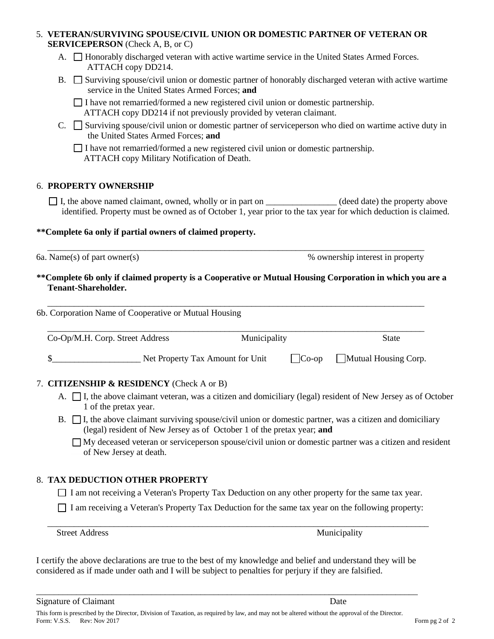#### 5. **VETERAN/SURVIVING SPOUSE/CIVIL UNION OR DOMESTIC PARTNER OF VETERAN OR SERVICEPERSON** (Check A, B, or C)

- A.  $\Box$  Honorably discharged veteran with active wartime service in the United States Armed Forces. ATTACH copy DD214.
- B.  $\square$  Surviving spouse/civil union or domestic partner of honorably discharged veteran with active wartime service in the United States Armed Forces; **and**

 $\Box$  I have not remarried/formed a new registered civil union or domestic partnership. ATTACH copy DD214 if not previously provided by veteran claimant.

C.  $\Box$  Surviving spouse/civil union or domestic partner of serviceperson who died on wartime active duty in the United States Armed Forces; **and**

I have not remarried/formed a new registered civil union or domestic partnership. ATTACH copy Military Notification of Death.

## 6. **PROPERTY OWNERSHIP**

 $\Box$  I, the above named claimant, owned, wholly or in part on  $\Box$  (deed date) the property above identified. Property must be owned as of October 1, year prior to the tax year for which deduction is claimed.

## **\*\*Complete 6a only if partial owners of claimed property.**

 \_\_\_\_\_\_\_\_\_\_\_\_\_\_\_\_\_\_\_\_\_\_\_\_\_\_\_\_\_\_\_\_\_\_\_\_\_\_\_\_\_\_\_\_\_\_\_\_\_\_\_\_\_\_\_\_\_\_\_\_\_\_\_\_\_\_\_\_\_\_\_\_\_\_\_\_\_\_\_\_\_\_\_\_\_ 6a. Name(s) of part owner(s) % ownership interest in property

#### **\*\*Complete 6b only if claimed property is a Cooperative or Mutual Housing Corporation in which you are a Tenant-Shareholder.**

\_\_\_\_\_\_\_\_\_\_\_\_\_\_\_\_\_\_\_\_\_\_\_\_\_\_\_\_\_\_\_\_\_\_\_\_\_\_\_\_\_\_\_\_\_\_\_\_\_\_\_\_\_\_\_\_\_\_\_\_\_\_\_\_\_\_\_\_\_\_\_\_\_\_\_\_\_\_\_\_\_\_\_\_\_

6b. Corporation Name of Cooperative or Mutual Housing

| Co-Op/M.H. Corp. Street Address  | <b>Municipality</b> |          | <b>State</b>         |
|----------------------------------|---------------------|----------|----------------------|
| Net Property Tax Amount for Unit |                     | $Co$ -op | Mutual Housing Corp. |

## 7. **CITIZENSHIP & RESIDENCY** (Check A or B)

- A.  $\Box$  I, the above claimant veteran, was a citizen and domiciliary (legal) resident of New Jersey as of October 1 of the pretax year.
- $B. \Box$  I, the above claimant surviving spouse/civil union or domestic partner, was a citizen and domiciliary (legal) resident of New Jersey as of October 1 of the pretax year; **and**

My deceased veteran or serviceperson spouse/civil union or domestic partner was a citizen and resident of New Jersey at death.

## 8. **TAX DEDUCTION OTHER PROPERTY**

I am not receiving a Veteran's Property Tax Deduction on any other property for the same tax year.

I am receiving a Veteran's Property Tax Deduction for the same tax year on the following property:

\_\_\_\_\_\_\_\_\_\_\_\_\_\_\_\_\_\_\_\_\_\_\_\_\_\_\_\_\_\_\_\_\_\_\_\_\_\_\_\_\_\_\_\_\_\_\_\_\_\_\_\_\_\_\_\_\_\_\_\_\_\_\_\_\_\_\_\_\_\_\_\_\_\_\_\_\_\_\_\_\_\_\_\_\_\_

Street Address Municipality

I certify the above declarations are true to the best of my knowledge and belief and understand they will be considered as if made under oath and I will be subject to penalties for perjury if they are falsified.

\_\_\_\_\_\_\_\_\_\_\_\_\_\_\_\_\_\_\_\_\_\_\_\_\_\_\_\_\_\_\_\_\_\_\_\_\_\_\_\_\_\_\_\_\_\_\_\_\_\_\_\_\_\_\_\_\_\_\_\_\_\_\_\_\_\_\_\_\_\_\_\_\_\_\_\_\_\_\_\_\_\_\_\_\_\_

Signature of Claimant Date **Date**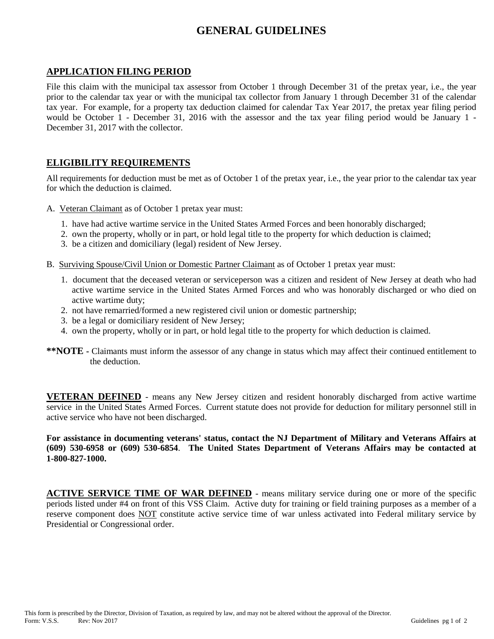# **GENERAL GUIDELINES**

#### **APPLICATION FILING PERIOD**

File this claim with the municipal tax assessor from October 1 through December 31 of the pretax year, i.e., the year prior to the calendar tax year or with the municipal tax collector from January 1 through December 31 of the calendar tax year. For example, for a property tax deduction claimed for calendar Tax Year 2017, the pretax year filing period would be October 1 - December 31, 2016 with the assessor and the tax year filing period would be January 1 - December 31, 2017 with the collector.

## **ELIGIBILITY REQUIREMENTS**

All requirements for deduction must be met as of October 1 of the pretax year, i.e., the year prior to the calendar tax year for which the deduction is claimed.

- A. Veteran Claimant as of October 1 pretax year must:
	- 1. have had active wartime service in the United States Armed Forces and been honorably discharged;
	- 2. own the property, wholly or in part, or hold legal title to the property for which deduction is claimed;
	- 3. be a citizen and domiciliary (legal) resident of New Jersey.
- B. Surviving Spouse/Civil Union or Domestic Partner Claimant as of October 1 pretax year must:
	- 1. document that the deceased veteran or serviceperson was a citizen and resident of New Jersey at death who had active wartime service in the United States Armed Forces and who was honorably discharged or who died on active wartime duty;
	- 2. not have remarried/formed a new registered civil union or domestic partnership;
	- 3. be a legal or domiciliary resident of New Jersey;
	- 4. own the property, wholly or in part, or hold legal title to the property for which deduction is claimed.
- **\*\*NOTE -** Claimants must inform the assessor of any change in status which may affect their continued entitlement to the deduction.

**VETERAN DEFINED** - means any New Jersey citizen and resident honorably discharged from active wartime service in the United States Armed Forces. Current statute does not provide for deduction for military personnel still in active service who have not been discharged.

**For assistance in documenting veterans' status, contact the NJ Department of Military and Veterans Affairs at (609) 530-6958 or (609) 530-6854**. **The United States Department of Veterans Affairs may be contacted at 1-800-827-1000.**

**ACTIVE SERVICE TIME OF WAR DEFINED** - means military service during one or more of the specific periods listed under #4 on front of this VSS Claim. Active duty for training or field training purposes as a member of a reserve component does NOT constitute active service time of war unless activated into Federal military service by Presidential or Congressional order.